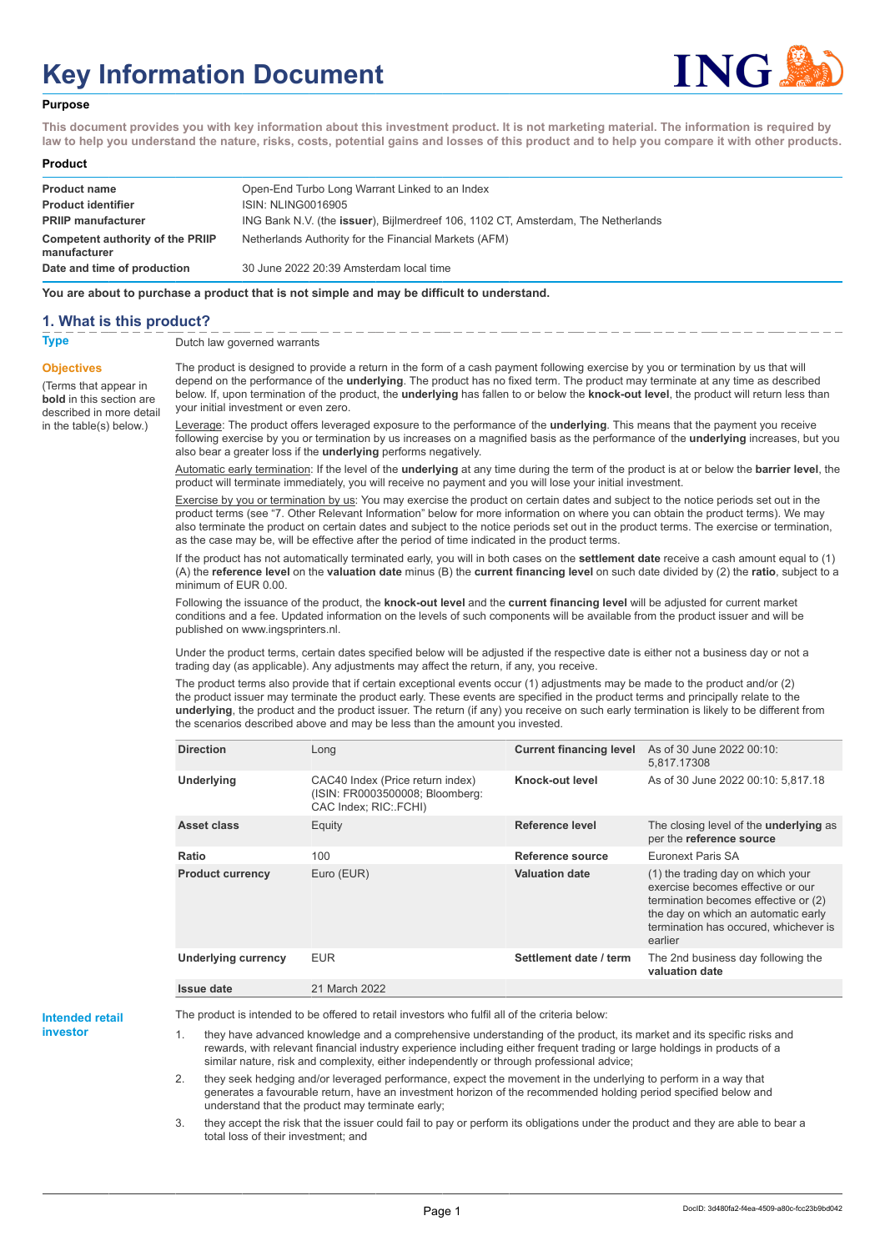# **Key Information Document**



#### **Purpose**

**This document provides you with key information about this investment product. It is not marketing material. The information is required by law to help you understand the nature, risks, costs, potential gains and losses of this product and to help you compare it with other products.**

#### **Product**

| <b>Product name</b><br><b>Product identifier</b><br><b>PRIIP manufacturer</b> | Open-End Turbo Long Warrant Linked to an Index<br>ISIN: NLING0016905<br>ING Bank N.V. (the issuer), Bijlmerdreef 106, 1102 CT, Amsterdam, The Netherlands |
|-------------------------------------------------------------------------------|-----------------------------------------------------------------------------------------------------------------------------------------------------------|
| Competent authority of the PRIIP<br>manufacturer                              | Netherlands Authority for the Financial Markets (AFM)                                                                                                     |
| Date and time of production                                                   | 30 June 2022 20:39 Amsterdam local time                                                                                                                   |

**You are about to purchase a product that is not simple and may be difficult to understand.**

## **1. What is this product?**

**Objectives**

(Terms that appear in **bold** in this section are

in the table(s) below.)

**Type** Dutch law governed warrants

described in more detail The product is designed to provide a return in the form of a cash payment following exercise by you or termination by us that will depend on the performance of the **underlying**. The product has no fixed term. The product may terminate at any time as described below. If, upon termination of the product, the **underlying** has fallen to or below the **knock-out level**, the product will return less than your initial investment or even zero.

> Leverage: The product offers leveraged exposure to the performance of the **underlying**. This means that the payment you receive following exercise by you or termination by us increases on a magnified basis as the performance of the **underlying** increases, but you also bear a greater loss if the **underlying** performs negatively.

> Automatic early termination: If the level of the **underlying** at any time during the term of the product is at or below the **barrier level**, the product will terminate immediately, you will receive no payment and you will lose your initial investment.

> Exercise by you or termination by us: You may exercise the product on certain dates and subject to the notice periods set out in the product terms (see "7. Other Relevant Information" below for more information on where you can obtain the product terms). We may also terminate the product on certain dates and subject to the notice periods set out in the product terms. The exercise or termination, as the case may be, will be effective after the period of time indicated in the product terms.

> If the product has not automatically terminated early, you will in both cases on the **settlement date** receive a cash amount equal to (1) (A) the **reference level** on the **valuation date** minus (B) the **current financing level** on such date divided by (2) the **ratio**, subject to a minimum of EUR 0.00.

Following the issuance of the product, the **knock-out level** and the **current financing level** will be adjusted for current market conditions and a fee. Updated information on the levels of such components will be available from the product issuer and will be published on www.ingsprinters.nl.

Under the product terms, certain dates specified below will be adjusted if the respective date is either not a business day or not a trading day (as applicable). Any adjustments may affect the return, if any, you receive.

The product terms also provide that if certain exceptional events occur (1) adjustments may be made to the product and/or (2) the product issuer may terminate the product early. These events are specified in the product terms and principally relate to the **underlying**, the product and the product issuer. The return (if any) you receive on such early termination is likely to be different from the scenarios described above and may be less than the amount you invested.

| <b>Direction</b>           | Long                                                                                         | <b>Current financing level</b> | As of 30 June 2022 00:10:<br>5.817.17308                                                                                                                                                                  |
|----------------------------|----------------------------------------------------------------------------------------------|--------------------------------|-----------------------------------------------------------------------------------------------------------------------------------------------------------------------------------------------------------|
| <b>Underlying</b>          | CAC40 Index (Price return index)<br>(ISIN: FR0003500008; Bloomberg:<br>CAC Index; RIC: FCHI) | Knock-out level                | As of 30 June 2022 00:10: 5.817.18                                                                                                                                                                        |
| Asset class                | Equity                                                                                       | Reference level                | The closing level of the <b>underlying</b> as<br>per the reference source                                                                                                                                 |
| Ratio                      | 100                                                                                          | Reference source               | <b>Euronext Paris SA</b>                                                                                                                                                                                  |
| <b>Product currency</b>    | Euro (EUR)                                                                                   | <b>Valuation date</b>          | (1) the trading day on which your<br>exercise becomes effective or our<br>termination becomes effective or (2)<br>the day on which an automatic early<br>termination has occured, whichever is<br>earlier |
| <b>Underlying currency</b> | <b>EUR</b>                                                                                   | Settlement date / term         | The 2nd business day following the<br>valuation date                                                                                                                                                      |
| Issue date                 | 21 March 2022                                                                                |                                |                                                                                                                                                                                                           |

**Intended retail investor**

The product is intended to be offered to retail investors who fulfil all of the criteria below:

1. they have advanced knowledge and a comprehensive understanding of the product, its market and its specific risks and rewards, with relevant financial industry experience including either frequent trading or large holdings in products of a similar nature, risk and complexity, either independently or through professional advice;

2. they seek hedging and/or leveraged performance, expect the movement in the underlying to perform in a way that generates a favourable return, have an investment horizon of the recommended holding period specified below and understand that the product may terminate early;

3. they accept the risk that the issuer could fail to pay or perform its obligations under the product and they are able to bear a total loss of their investment; and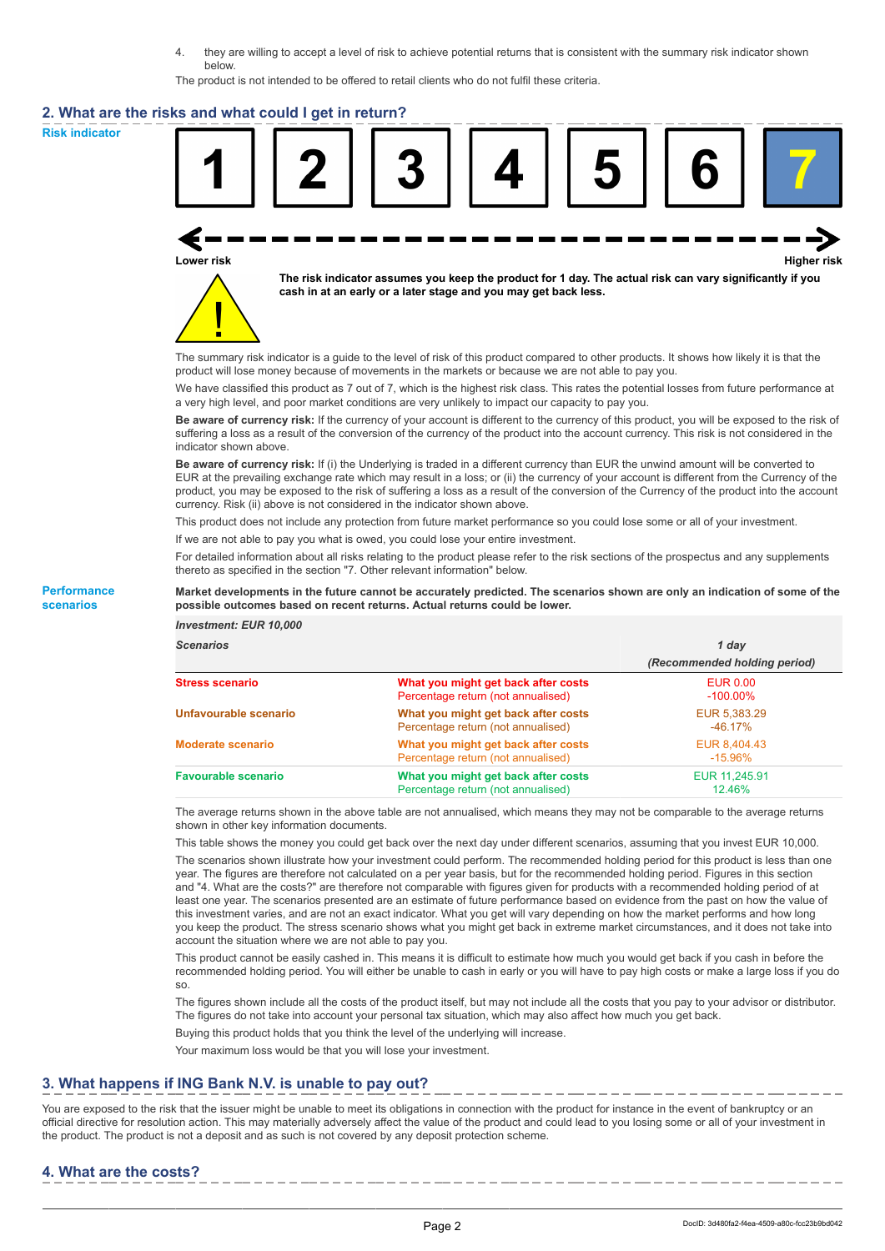4. they are willing to accept a level of risk to achieve potential returns that is consistent with the summary risk indicator shown below.

The product is not intended to be offered to retail clients who do not fulfil these criteria.

#### **2. What are the risks and what could I get in return?**

**Risk indicator**

**Performance scenarios**







**The risk indicator assumes you keep the product for 1 day. The actual risk can vary significantly if you cash in at an early or a later stage and you may get back less.**

The summary risk indicator is a guide to the level of risk of this product compared to other products. It shows how likely it is that the product will lose money because of movements in the markets or because we are not able to pay you.

We have classified this product as 7 out of 7, which is the highest risk class. This rates the potential losses from future performance at a very high level, and poor market conditions are very unlikely to impact our capacity to pay you.

**Be aware of currency risk:** If the currency of your account is different to the currency of this product, you will be exposed to the risk of suffering a loss as a result of the conversion of the currency of the product into the account currency. This risk is not considered in the indicator shown above.

**Be aware of currency risk:** If (i) the Underlying is traded in a different currency than EUR the unwind amount will be converted to EUR at the prevailing exchange rate which may result in a loss; or (ii) the currency of your account is different from the Currency of the product, you may be exposed to the risk of suffering a loss as a result of the conversion of the Currency of the product into the account currency. Risk (ii) above is not considered in the indicator shown above.

This product does not include any protection from future market performance so you could lose some or all of your investment. If we are not able to pay you what is owed, you could lose your entire investment.

For detailed information about all risks relating to the product please refer to the risk sections of the prospectus and any supplements thereto as specified in the section "7. Other relevant information" below.

**Market developments in the future cannot be accurately predicted. The scenarios shown are only an indication of some of the possible outcomes based on recent returns. Actual returns could be lower.**

*Investment: EUR 10,000*

| <b>Scenarios</b>           |                                                                           | 1 dav                          |  |
|----------------------------|---------------------------------------------------------------------------|--------------------------------|--|
|                            |                                                                           | (Recommended holding period)   |  |
| <b>Stress scenario</b>     | What you might get back after costs<br>Percentage return (not annualised) | <b>EUR 0.00</b><br>$-100.00\%$ |  |
| Unfavourable scenario      | What you might get back after costs<br>Percentage return (not annualised) | EUR 5,383.29<br>$-46.17\%$     |  |
| <b>Moderate scenario</b>   | What you might get back after costs<br>Percentage return (not annualised) | EUR 8.404.43<br>$-15.96\%$     |  |
| <b>Favourable scenario</b> | What you might get back after costs<br>Percentage return (not annualised) | EUR 11,245.91<br>12.46%        |  |

The average returns shown in the above table are not annualised, which means they may not be comparable to the average returns shown in other key information documents.

This table shows the money you could get back over the next day under different scenarios, assuming that you invest EUR 10,000.

The scenarios shown illustrate how your investment could perform. The recommended holding period for this product is less than one year. The figures are therefore not calculated on a per year basis, but for the recommended holding period. Figures in this section and "4. What are the costs?" are therefore not comparable with figures given for products with a recommended holding period of at least one year. The scenarios presented are an estimate of future performance based on evidence from the past on how the value of this investment varies, and are not an exact indicator. What you get will vary depending on how the market performs and how long you keep the product. The stress scenario shows what you might get back in extreme market circumstances, and it does not take into account the situation where we are not able to pay you.

This product cannot be easily cashed in. This means it is difficult to estimate how much you would get back if you cash in before the recommended holding period. You will either be unable to cash in early or you will have to pay high costs or make a large loss if you do so.

The figures shown include all the costs of the product itself, but may not include all the costs that you pay to your advisor or distributor. The figures do not take into account your personal tax situation, which may also affect how much you get back.

Buying this product holds that you think the level of the underlying will increase.

Your maximum loss would be that you will lose your investment.

## **3. What happens if ING Bank N.V. is unable to pay out?**

You are exposed to the risk that the issuer might be unable to meet its obligations in connection with the product for instance in the event of bankruptcy or an official directive for resolution action. This may materially adversely affect the value of the product and could lead to you losing some or all of your investment in the product. The product is not a deposit and as such is not covered by any deposit protection scheme.

# **4. What are the costs?**